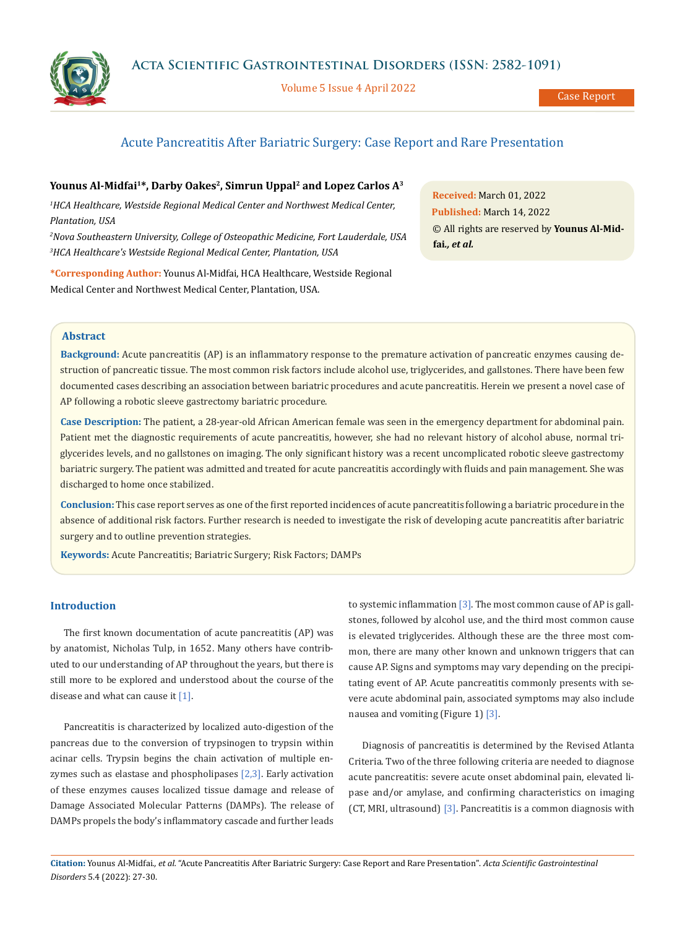

Volume 5 Issue 4 April 2022

# Acute Pancreatitis After Bariatric Surgery: Case Report and Rare Presentation

# Younus Al-Midfai<sup>1\*</sup>, Darby Oakes<sup>2</sup>, Simrun Uppal<sup>2</sup> and Lopez Carlos A<sup>3</sup>

<sup>1</sup> HCA Healthcare, Westside Regional Medical Center and Northwest Medical Center, *Plantation, USA*

*2 Nova Southeastern University, College of Osteopathic Medicine, Fort Lauderdale, USA 3 HCA Healthcare's Westside Regional Medical Center, Plantation, USA*

**\*Corresponding Author:** Younus Al-Midfai, HCA Healthcare, Westside Regional Medical Center and Northwest Medical Center, Plantation, USA.

**Received:** March 01, 2022 **Published:** March 14, 2022 © All rights are reserved by **Younus Al-Midfai***., et al.*

## **Abstract**

**Background:** Acute pancreatitis (AP) is an inflammatory response to the premature activation of pancreatic enzymes causing destruction of pancreatic tissue. The most common risk factors include alcohol use, triglycerides, and gallstones. There have been few documented cases describing an association between bariatric procedures and acute pancreatitis. Herein we present a novel case of AP following a robotic sleeve gastrectomy bariatric procedure.

**Case Description:** The patient, a 28-year-old African American female was seen in the emergency department for abdominal pain. Patient met the diagnostic requirements of acute pancreatitis, however, she had no relevant history of alcohol abuse, normal triglycerides levels, and no gallstones on imaging. The only significant history was a recent uncomplicated robotic sleeve gastrectomy bariatric surgery. The patient was admitted and treated for acute pancreatitis accordingly with fluids and pain management. She was discharged to home once stabilized.

**Conclusion:** This case report serves as one of the first reported incidences of acute pancreatitis following a bariatric procedure in the absence of additional risk factors. Further research is needed to investigate the risk of developing acute pancreatitis after bariatric surgery and to outline prevention strategies.

**Keywords:** Acute Pancreatitis; Bariatric Surgery; Risk Factors; DAMPs

# **Introduction**

The first known documentation of acute pancreatitis (AP) was by anatomist, Nicholas Tulp, in 1652. Many others have contributed to our understanding of AP throughout the years, but there is still more to be explored and understood about the course of the disease and what can cause it [1].

Pancreatitis is characterized by localized auto-digestion of the pancreas due to the conversion of trypsinogen to trypsin within acinar cells. Trypsin begins the chain activation of multiple enzymes such as elastase and phospholipases  $[2,3]$ . Early activation of these enzymes causes localized tissue damage and release of Damage Associated Molecular Patterns (DAMPs). The release of DAMPs propels the body's inflammatory cascade and further leads to systemic inflammation  $[3]$ . The most common cause of AP is gallstones, followed by alcohol use, and the third most common cause is elevated triglycerides. Although these are the three most common, there are many other known and unknown triggers that can cause AP. Signs and symptoms may vary depending on the precipitating event of AP. Acute pancreatitis commonly presents with severe acute abdominal pain, associated symptoms may also include nausea and vomiting (Figure 1) [3].

Diagnosis of pancreatitis is determined by the Revised Atlanta Criteria. Two of the three following criteria are needed to diagnose acute pancreatitis: severe acute onset abdominal pain, elevated lipase and/or amylase, and confirming characteristics on imaging (CT, MRI, ultrasound) [3]. Pancreatitis is a common diagnosis with

**Citation:** Younus Al-Midfai*., et al.* "Acute Pancreatitis After Bariatric Surgery: Case Report and Rare Presentation". *Acta Scientific Gastrointestinal Disorders* 5.4 (2022): 27-30.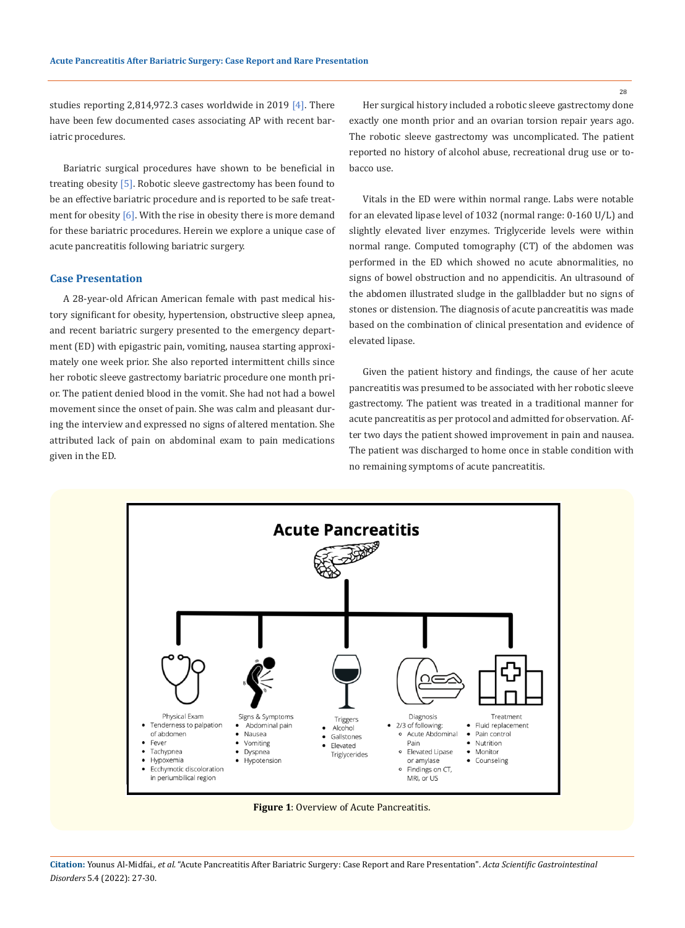studies reporting 2,814,972.3 cases worldwide in 2019  $[4]$ . There have been few documented cases associating AP with recent bariatric procedures.

Bariatric surgical procedures have shown to be beneficial in treating obesity [5]. Robotic sleeve gastrectomy has been found to be an effective bariatric procedure and is reported to be safe treatment for obesity  $[6]$ . With the rise in obesity there is more demand for these bariatric procedures. Herein we explore a unique case of acute pancreatitis following bariatric surgery.

## **Case Presentation**

A 28-year-old African American female with past medical history significant for obesity, hypertension, obstructive sleep apnea, and recent bariatric surgery presented to the emergency department (ED) with epigastric pain, vomiting, nausea starting approximately one week prior. She also reported intermittent chills since her robotic sleeve gastrectomy bariatric procedure one month prior. The patient denied blood in the vomit. She had not had a bowel movement since the onset of pain. She was calm and pleasant during the interview and expressed no signs of altered mentation. She attributed lack of pain on abdominal exam to pain medications given in the ED.

Her surgical history included a robotic sleeve gastrectomy done exactly one month prior and an ovarian torsion repair years ago. The robotic sleeve gastrectomy was uncomplicated. The patient reported no history of alcohol abuse, recreational drug use or tobacco use.

Vitals in the ED were within normal range. Labs were notable for an elevated lipase level of 1032 (normal range: 0-160 U/L) and slightly elevated liver enzymes. Triglyceride levels were within normal range. Computed tomography (CT) of the abdomen was performed in the ED which showed no acute abnormalities, no signs of bowel obstruction and no appendicitis. An ultrasound of the abdomen illustrated sludge in the gallbladder but no signs of stones or distension. The diagnosis of acute pancreatitis was made based on the combination of clinical presentation and evidence of elevated lipase.

Given the patient history and findings, the cause of her acute pancreatitis was presumed to be associated with her robotic sleeve gastrectomy. The patient was treated in a traditional manner for acute pancreatitis as per protocol and admitted for observation. After two days the patient showed improvement in pain and nausea. The patient was discharged to home once in stable condition with no remaining symptoms of acute pancreatitis.



**Figure 1**: Overview of Acute Pancreatitis.

**Citation:** Younus Al-Midfai*., et al.* "Acute Pancreatitis After Bariatric Surgery: Case Report and Rare Presentation". *Acta Scientific Gastrointestinal Disorders* 5.4 (2022): 27-30.

28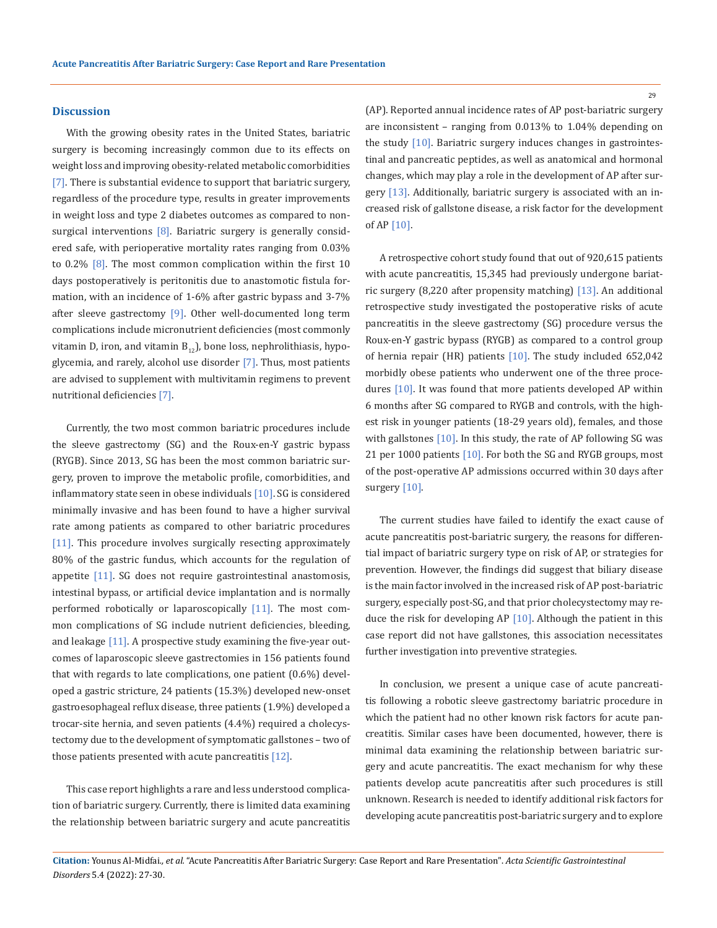#### **Discussion**

With the growing obesity rates in the United States, bariatric surgery is becoming increasingly common due to its effects on weight loss and improving obesity-related metabolic comorbidities [7]. There is substantial evidence to support that bariatric surgery, regardless of the procedure type, results in greater improvements in weight loss and type 2 diabetes outcomes as compared to nonsurgical interventions  $[8]$ . Bariatric surgery is generally considered safe, with perioperative mortality rates ranging from 0.03% to 0.2% [8]. The most common complication within the first 10 days postoperatively is peritonitis due to anastomotic fistula formation, with an incidence of 1-6% after gastric bypass and 3-7% after sleeve gastrectomy  $[9]$ . Other well-documented long term complications include micronutrient deficiencies (most commonly vitamin D, iron, and vitamin  $B_{12}$ ), bone loss, nephrolithiasis, hypoglycemia, and rarely, alcohol use disorder [7]. Thus, most patients are advised to supplement with multivitamin regimens to prevent nutritional deficiencies [7].

Currently, the two most common bariatric procedures include the sleeve gastrectomy (SG) and the Roux-en-Y gastric bypass (RYGB). Since 2013, SG has been the most common bariatric surgery, proven to improve the metabolic profile, comorbidities, and inflammatory state seen in obese individuals [10]. SG is considered minimally invasive and has been found to have a higher survival rate among patients as compared to other bariatric procedures [11]. This procedure involves surgically resecting approximately 80% of the gastric fundus, which accounts for the regulation of appetite [11]. SG does not require gastrointestinal anastomosis, intestinal bypass, or artificial device implantation and is normally performed robotically or laparoscopically  $[11]$ . The most common complications of SG include nutrient deficiencies, bleeding, and leakage [11]. A prospective study examining the five-year outcomes of laparoscopic sleeve gastrectomies in 156 patients found that with regards to late complications, one patient (0.6%) developed a gastric stricture, 24 patients (15.3%) developed new-onset gastroesophageal reflux disease, three patients (1.9%) developed a trocar-site hernia, and seven patients (4.4%) required a cholecystectomy due to the development of symptomatic gallstones – two of those patients presented with acute pancreatitis  $[12]$ .

This case report highlights a rare and less understood complication of bariatric surgery. Currently, there is limited data examining the relationship between bariatric surgery and acute pancreatitis (AP). Reported annual incidence rates of AP post-bariatric surgery are inconsistent – ranging from 0.013% to 1.04% depending on the study [10]. Bariatric surgery induces changes in gastrointestinal and pancreatic peptides, as well as anatomical and hormonal changes, which may play a role in the development of AP after surgery [13]. Additionally, bariatric surgery is associated with an increased risk of gallstone disease, a risk factor for the development of AP [10].

A retrospective cohort study found that out of 920,615 patients with acute pancreatitis, 15,345 had previously undergone bariatric surgery (8,220 after propensity matching) [13]. An additional retrospective study investigated the postoperative risks of acute pancreatitis in the sleeve gastrectomy (SG) procedure versus the Roux-en-Y gastric bypass (RYGB) as compared to a control group of hernia repair (HR) patients [10]. The study included 652,042 morbidly obese patients who underwent one of the three procedures [10]. It was found that more patients developed AP within 6 months after SG compared to RYGB and controls, with the highest risk in younger patients (18-29 years old), females, and those with gallstones [10]. In this study, the rate of AP following SG was 21 per 1000 patients [10]. For both the SG and RYGB groups, most of the post-operative AP admissions occurred within 30 days after surgery [10].

The current studies have failed to identify the exact cause of acute pancreatitis post-bariatric surgery, the reasons for differential impact of bariatric surgery type on risk of AP, or strategies for prevention. However, the findings did suggest that biliary disease is the main factor involved in the increased risk of AP post-bariatric surgery, especially post-SG, and that prior cholecystectomy may reduce the risk for developing AP [10]. Although the patient in this case report did not have gallstones, this association necessitates further investigation into preventive strategies.

In conclusion, we present a unique case of acute pancreatitis following a robotic sleeve gastrectomy bariatric procedure in which the patient had no other known risk factors for acute pancreatitis. Similar cases have been documented, however, there is minimal data examining the relationship between bariatric surgery and acute pancreatitis. The exact mechanism for why these patients develop acute pancreatitis after such procedures is still unknown. Research is needed to identify additional risk factors for developing acute pancreatitis post-bariatric surgery and to explore

29

**Citation:** Younus Al-Midfai*., et al.* "Acute Pancreatitis After Bariatric Surgery: Case Report and Rare Presentation". *Acta Scientific Gastrointestinal Disorders* 5.4 (2022): 27-30.